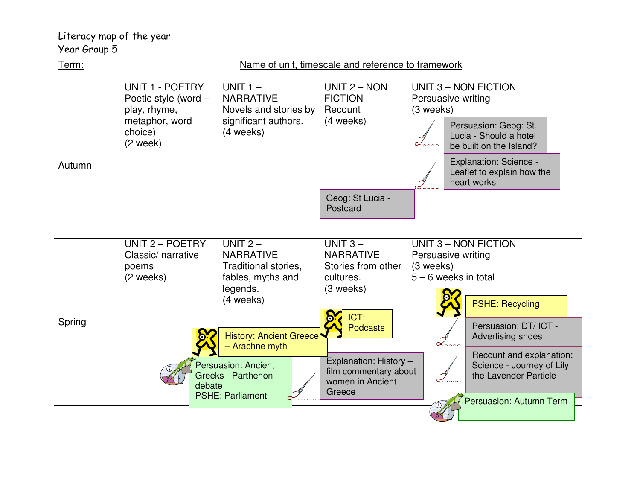## Literacy map of the year Year Group 5

| Term:  | Name of unit, timescale and reference to framework                                                 |                                                                                                                                                                                 |                                                                                                                                    |                                                                                          |                                                                                                                                                          |
|--------|----------------------------------------------------------------------------------------------------|---------------------------------------------------------------------------------------------------------------------------------------------------------------------------------|------------------------------------------------------------------------------------------------------------------------------------|------------------------------------------------------------------------------------------|----------------------------------------------------------------------------------------------------------------------------------------------------------|
| Autumn | UNIT 1 - POETRY<br>Poetic style (word -<br>play, rhyme,<br>metaphor, word<br>choice)<br>$(2$ week) | UNIT $1 -$<br><b>NARRATIVE</b><br>Novels and stories by<br>significant authors.<br>(4 weeks)                                                                                    | UNIT $2 - NON$<br><b>FICTION</b><br>Recount<br>(4 weeks)<br>Geog: St Lucia -                                                       | UNIT 3 - NON FICTION<br>Persuasive writing<br>(3 weeks)                                  | Persuasion: Geog: St.<br>Lucia - Should a hotel<br>be built on the Island?<br><b>Explanation: Science -</b><br>Leaflet to explain how the<br>heart works |
|        |                                                                                                    |                                                                                                                                                                                 | Postcard                                                                                                                           |                                                                                          |                                                                                                                                                          |
| Spring | UNIT 2 - POETRY<br>Classic/ narrative<br>poems<br>(2 weeks)                                        | UNIT $2-$<br><b>NARRATIVE</b><br>Traditional stories,<br>fables, myths and<br>legends.<br>(4 weeks)<br><b>History: Ancient Greece*</b><br>- Arachne myth<br>Persuasion: Ancient | UNIT $3-$<br><b>NARRATIVE</b><br>Stories from other<br>cultures.<br>(3 weeks)<br>ICT:<br><b>Podcasts</b><br>Explanation: History - | <b>UNIT 3 - NON FICTION</b><br>Persuasive writing<br>(3 weeks)<br>$5 - 6$ weeks in total | <b>PSHE: Recycling</b><br>Persuasion: DT/ ICT -<br>Advertising shoes<br>Recount and explanation:<br>Science - Journey of Lily                            |
|        | debate                                                                                             | Greeks - Parthenon<br><b>PSHE: Parliament</b>                                                                                                                                   | film commentary about<br>women in Ancient<br>Greece                                                                                |                                                                                          | the Lavender Particle<br>Persuasion: Autumn Term                                                                                                         |